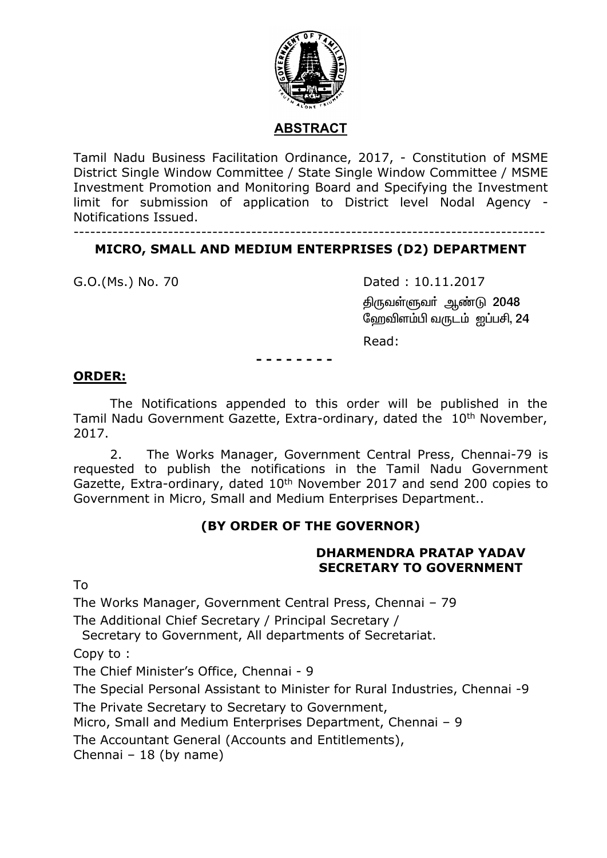

## **ABSTRACT**

Tamil Nadu Business Facilitation Ordinance, 2017, - Constitution of MSME District Single Window Committee / State Single Window Committee / MSME Investment Promotion and Monitoring Board and Specifying the Investment limit for submission of application to District level Nodal Agency - Notifications Issued.

-------------------------------------------------------------------------------------

## **MICRO, SMALL AND MEDIUM ENTERPRISES (D2) DEPARTMENT**

G.O.(Ms.) No. 70 Dated : 10.11.2017 திருவள்ளுவர் ஆண்டு 2048 வேறவிளம்பி வருடம்  $\varpi$ ப்பசி, 24

Read:

**- - - - - - - -**

#### **ORDER:**

The Notifications appended to this order will be published in the Tamil Nadu Government Gazette, Extra-ordinary, dated the 10<sup>th</sup> November, 2017.

2. The Works Manager, Government Central Press, Chennai-79 is requested to publish the notifications in the Tamil Nadu Government Gazette, Extra-ordinary, dated 10<sup>th</sup> November 2017 and send 200 copies to Government in Micro, Small and Medium Enterprises Department..

## **(BY ORDER OF THE GOVERNOR)**

#### **DHARMENDRA PRATAP YADAV SECRETARY TO GOVERNMENT**

To

The Works Manager, Government Central Press, Chennai – 79

The Additional Chief Secretary / Principal Secretary /

Secretary to Government, All departments of Secretariat.

Copy to :

The Chief Minister's Office, Chennai - 9

The Special Personal Assistant to Minister for Rural Industries, Chennai -9

The Private Secretary to Secretary to Government,

Micro, Small and Medium Enterprises Department, Chennai – 9

The Accountant General (Accounts and Entitlements),

Chennai – 18 (by name)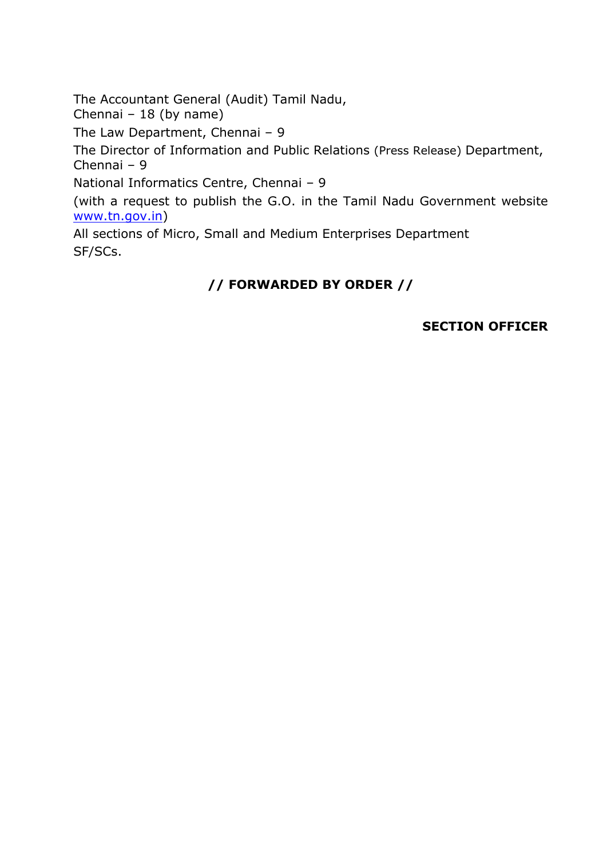The Accountant General (Audit) Tamil Nadu,

Chennai – 18 (by name)

The Law Department, Chennai – 9

The Director of Information and Public Relations (Press Release) Department, Chennai – 9

National Informatics Centre, Chennai – 9

(with a request to publish the G.O. in the Tamil Nadu Government website [www.tn.gov.in\)](http://www.tn.gov.in/)

All sections of Micro, Small and Medium Enterprises Department SF/SCs.

# **// FORWARDED BY ORDER //**

## **SECTION OFFICER**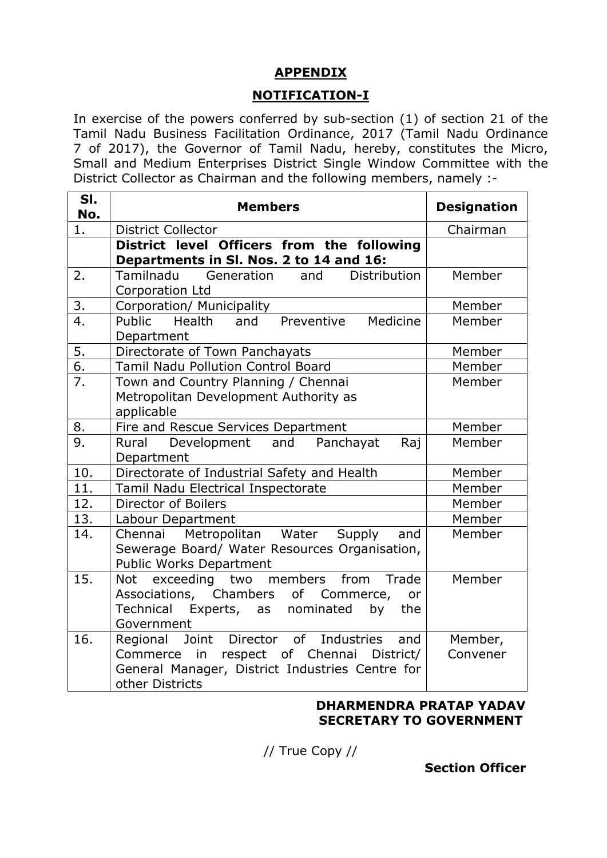## **APPENDIX**

## **NOTIFICATION-I**

In exercise of the powers conferred by sub-section (1) of section 21 of the Tamil Nadu Business Facilitation Ordinance, 2017 (Tamil Nadu Ordinance 7 of 2017), the Governor of Tamil Nadu, hereby, constitutes the Micro, Small and Medium Enterprises District Single Window Committee with the District Collector as Chairman and the following members, namely :-

| SI.<br>No.       | <b>Members</b>                                                                                                                                                       | <b>Designation</b>  |
|------------------|----------------------------------------------------------------------------------------------------------------------------------------------------------------------|---------------------|
| 1.               | <b>District Collector</b>                                                                                                                                            | Chairman            |
|                  | District level Officers from the following<br>Departments in Sl. Nos. 2 to 14 and 16:                                                                                |                     |
| 2.               | Tamilnadu<br>Generation<br><b>Distribution</b><br>and<br>Corporation Ltd                                                                                             | Member              |
| 3.               | Corporation/ Municipality                                                                                                                                            | Member              |
| $\overline{4}$ . | Public Health<br>and Preventive<br>Medicine<br>Department                                                                                                            | Member              |
| 5.               | Directorate of Town Panchayats                                                                                                                                       | Member              |
| $\overline{6}$ . | <b>Tamil Nadu Pollution Control Board</b>                                                                                                                            | Member              |
| 7.               | Town and Country Planning / Chennai<br>Metropolitan Development Authority as<br>applicable                                                                           | Member              |
| 8.               | Fire and Rescue Services Department                                                                                                                                  | Member              |
| 9.               | Rural<br>Development and Panchayat<br>Raj<br>Department                                                                                                              | Member              |
| 10.              | Directorate of Industrial Safety and Health                                                                                                                          | Member              |
| 11.              | Tamil Nadu Electrical Inspectorate                                                                                                                                   | Member              |
| 12.              | Director of Boilers                                                                                                                                                  | Member              |
| 13.              | Labour Department                                                                                                                                                    | Member              |
| 14.              | Metropolitan Water<br>Supply<br>Chennai<br>and<br>Sewerage Board/ Water Resources Organisation,<br>Public Works Department                                           | Member              |
| 15.              | Trade<br>Not exceeding two members<br>from<br>Associations, Chambers of Commerce,<br>or<br><b>Technical</b><br>Experts, as nominated<br>by<br>the<br>Government      | Member              |
| 16.              | Regional Joint Director of Industries<br>and<br>in respect of Chennai<br>District/<br>Commerce<br>General Manager, District Industries Centre for<br>other Districts | Member,<br>Convener |

#### **DHARMENDRA PRATAP YADAV SECRETARY TO GOVERNMENT**

// True Copy //

**Section Officer**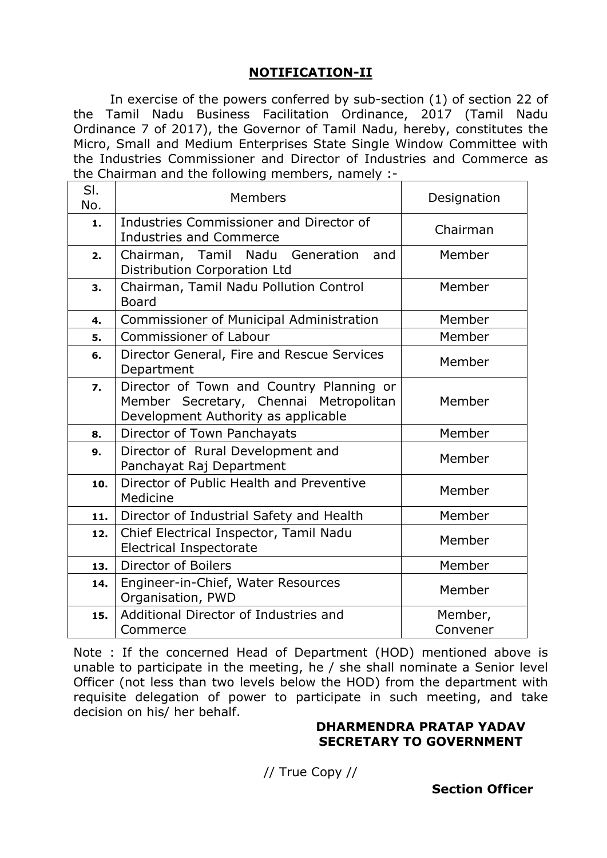## **NOTIFICATION-II**

In exercise of the powers conferred by sub-section (1) of section 22 of the Tamil Nadu Business Facilitation Ordinance, 2017 (Tamil Nadu Ordinance 7 of 2017), the Governor of Tamil Nadu, hereby, constitutes the Micro, Small and Medium Enterprises State Single Window Committee with the Industries Commissioner and Director of Industries and Commerce as the Chairman and the following members, namely :-

| SI.<br>No.       | Members                                                                                                                   | Designation         |
|------------------|---------------------------------------------------------------------------------------------------------------------------|---------------------|
| 1.               | Industries Commissioner and Director of<br><b>Industries and Commerce</b>                                                 | Chairman            |
| 2.               | Chairman, Tamil<br>Nadu Generation<br>and<br>Distribution Corporation Ltd                                                 | Member              |
| 3.               | Chairman, Tamil Nadu Pollution Control<br><b>Board</b>                                                                    | Member              |
| 4.               | Commissioner of Municipal Administration                                                                                  | Member              |
| 5.               | Commissioner of Labour                                                                                                    | Member              |
| 6.               | Director General, Fire and Rescue Services<br>Department                                                                  | Member              |
| $\overline{7}$ . | Director of Town and Country Planning or<br>Member Secretary, Chennai Metropolitan<br>Development Authority as applicable | Member              |
| 8.               | Director of Town Panchayats                                                                                               | Member              |
| 9.               | Director of Rural Development and<br>Panchayat Raj Department                                                             | Member              |
| 10.              | Director of Public Health and Preventive<br>Medicine                                                                      | Member              |
| 11.              | Director of Industrial Safety and Health                                                                                  | Member              |
| 12.              | Chief Electrical Inspector, Tamil Nadu<br><b>Electrical Inspectorate</b>                                                  | Member              |
| 13.              | <b>Director of Boilers</b>                                                                                                | Member              |
| 14.              | Engineer-in-Chief, Water Resources<br>Organisation, PWD                                                                   | Member              |
| 15.              | Additional Director of Industries and<br>Commerce                                                                         | Member,<br>Convener |

Note : If the concerned Head of Department (HOD) mentioned above is unable to participate in the meeting, he / she shall nominate a Senior level Officer (not less than two levels below the HOD) from the department with requisite delegation of power to participate in such meeting, and take decision on his/ her behalf.

#### **DHARMENDRA PRATAP YADAV SECRETARY TO GOVERNMENT**

// True Copy //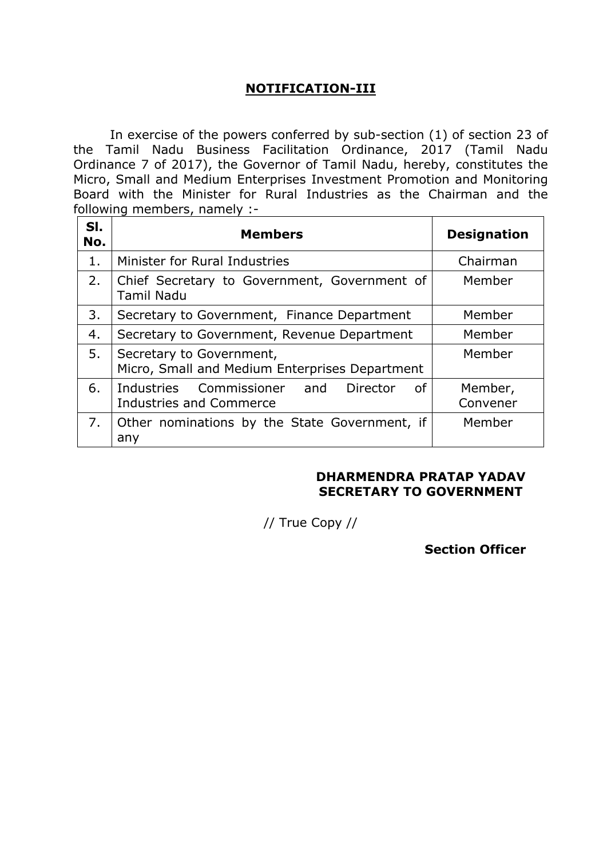## **NOTIFICATION-III**

In exercise of the powers conferred by sub-section (1) of section 23 of the Tamil Nadu Business Facilitation Ordinance, 2017 (Tamil Nadu Ordinance 7 of 2017), the Governor of Tamil Nadu, hereby, constitutes the Micro, Small and Medium Enterprises Investment Promotion and Monitoring Board with the Minister for Rural Industries as the Chairman and the following members, namely :-

| SI.<br>No. | <b>Members</b>                                                                  | <b>Designation</b>  |
|------------|---------------------------------------------------------------------------------|---------------------|
| 1.         | Minister for Rural Industries                                                   | Chairman            |
| 2.         | Chief Secretary to Government, Government of<br><b>Tamil Nadu</b>               | Member              |
| 3.         | Secretary to Government, Finance Department                                     | Member              |
| 4.         | Secretary to Government, Revenue Department                                     | Member              |
| 5.         | Secretary to Government,<br>Micro, Small and Medium Enterprises Department      | Member              |
| 6.         | Industries Commissioner and<br>Director<br>0f<br><b>Industries and Commerce</b> | Member,<br>Convener |
| 7.         | Other nominations by the State Government, if<br>any                            | Member              |

#### **DHARMENDRA PRATAP YADAV SECRETARY TO GOVERNMENT**

// True Copy //

**Section Officer**